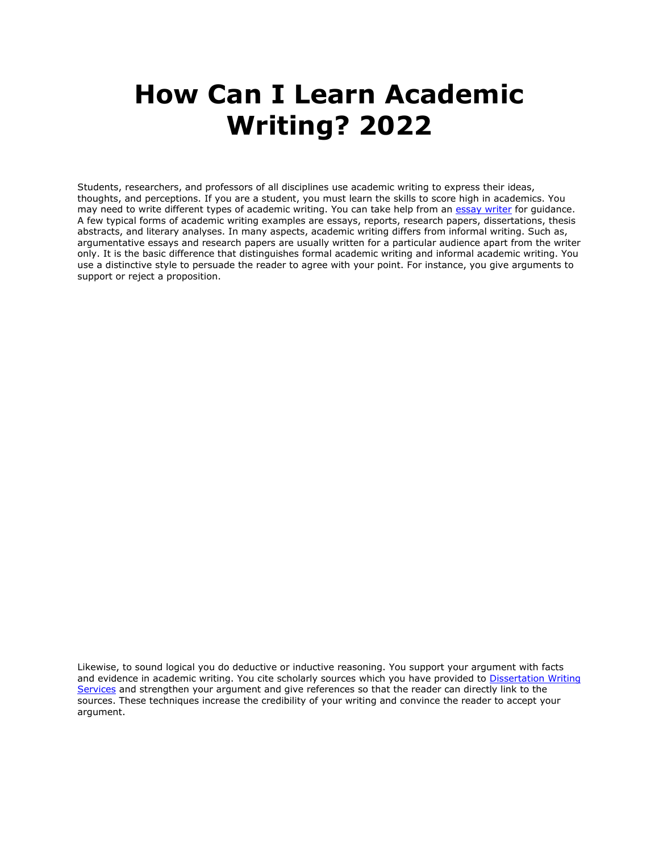## **How Can I Learn Academic Writing? 2022**

Students, researchers, and professors of all disciplines use academic writing to express their ideas, thoughts, and perceptions. If you are a student, you must learn the skills to score high in academics. You may need to write different types of academic writing. You can take help from an [essay writer](https://essayhours.com/) for quidance. A few typical forms of academic writing examples are essays, reports, research papers, dissertations, thesis abstracts, and literary analyses. In many aspects, academic writing differs from informal writing. Such as, argumentative essays and research papers are usually written for a particular audience apart from the writer only. It is the basic difference that distinguishes formal academic writing and informal academic writing. You use a distinctive style to persuade the reader to agree with your point. For instance, you give arguments to support or reject a proposition.

Likewise, to sound logical you do deductive or inductive reasoning. You support your argument with facts and evidence in academic writing. You cite scholarly sources which you have provided to [Dissertation Writing](https://gradschoolgenius.com/)  [Services](https://gradschoolgenius.com/) and strengthen your argument and give references so that the reader can directly link to the sources. These techniques increase the credibility of your writing and convince the reader to accept your argument.